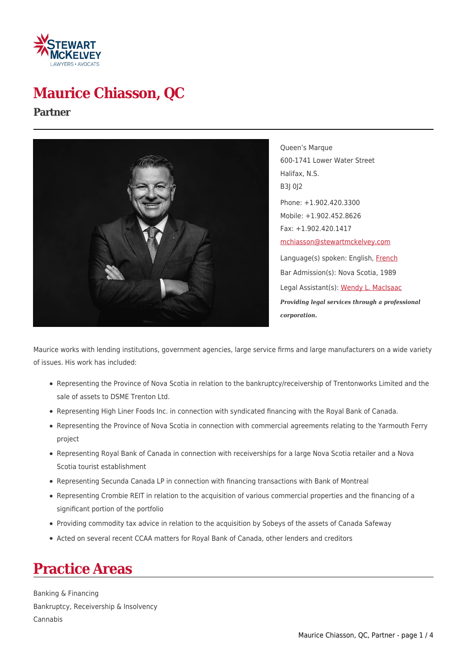

# **Maurice Chiasson, QC**

#### **Partner**



Queen's Marque 600-1741 Lower Water Street Halifax, N.S. B3J 0J2 Phone: +1.902.420.3300 Mobile: +1.902.452.8626 Fax: +1.902.420.1417 [mchiasson@stewartmckelvey.com](mailto:mchiasson@stewartmckelvey.com) Language(s) spoken: English, [French](https://www.stewartmckelvey.com/fr/people/chiasson-maurice) Bar Admission(s): Nova Scotia, 1989 Legal Assistant(s): [Wendy L. MacIsaac](https://www.stewartmckelvey.com/legal_assistant/macisaac-wendy-l) *Providing legal services through a professional corporation.*

Maurice works with lending institutions, government agencies, large service firms and large manufacturers on a wide variety of issues. His work has included:

- Representing the Province of Nova Scotia in relation to the bankruptcy/receivership of Trentonworks Limited and the sale of assets to DSME Trenton Ltd.
- Representing High Liner Foods Inc. in connection with syndicated financing with the Royal Bank of Canada.
- Representing the Province of Nova Scotia in connection with commercial agreements relating to the Yarmouth Ferry project
- Representing Royal Bank of Canada in connection with receiverships for a large Nova Scotia retailer and a Nova Scotia tourist establishment
- Representing Secunda Canada LP in connection with financing transactions with Bank of Montreal
- Representing Crombie REIT in relation to the acquisition of various commercial properties and the financing of a significant portion of the portfolio
- Providing commodity tax advice in relation to the acquisition by Sobeys of the assets of Canada Safeway
- Acted on several recent CCAA matters for Royal Bank of Canada, other lenders and creditors

### **Practice Areas**

Banking & Financing Bankruptcy, Receivership & Insolvency Cannabis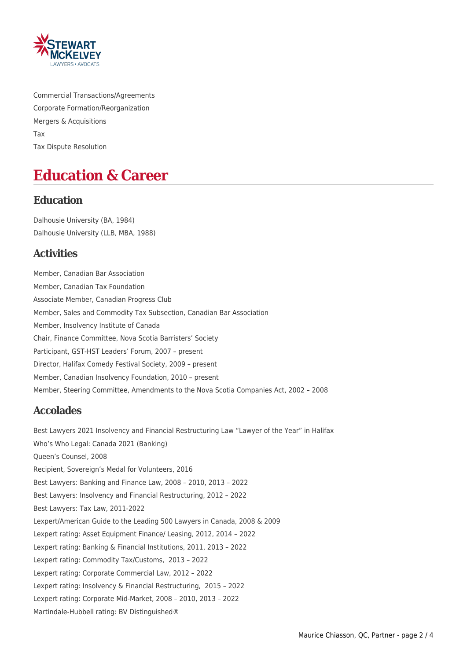

Commercial Transactions/Agreements Corporate Formation/Reorganization Mergers & Acquisitions Tax Tax Dispute Resolution

### **Education & Career**

#### **Education**

Dalhousie University (BA, 1984) Dalhousie University (LLB, MBA, 1988)

#### **Activities**

Member, Canadian Bar Association Member, Canadian Tax Foundation Associate Member, Canadian Progress Club Member, Sales and Commodity Tax Subsection, Canadian Bar Association Member, Insolvency Institute of Canada Chair, Finance Committee, Nova Scotia Barristers' Society Participant, GST-HST Leaders' Forum, 2007 – present Director, Halifax Comedy Festival Society, 2009 – present Member, Canadian Insolvency Foundation, 2010 – present Member, Steering Committee, Amendments to the Nova Scotia Companies Act, 2002 – 2008

#### **Accolades**

Best Lawyers 2021 Insolvency and Financial Restructuring Law "Lawyer of the Year" in Halifax Who's Who Legal: Canada 2021 (Banking) Queen's Counsel, 2008 Recipient, Sovereign's Medal for Volunteers, 2016 Best Lawyers: Banking and Finance Law, 2008 – 2010, 2013 – 2022 Best Lawyers: Insolvency and Financial Restructuring, 2012 – 2022 Best Lawyers: Tax Law, 2011-2022 Lexpert/American Guide to the Leading 500 Lawyers in Canada, 2008 & 2009 Lexpert rating: Asset Equipment Finance/ Leasing, 2012, 2014 – 2022 Lexpert rating: Banking & Financial Institutions, 2011, 2013 – 2022 Lexpert rating: Commodity Tax/Customs, 2013 – 2022 Lexpert rating: Corporate Commercial Law, 2012 – 2022 Lexpert rating: Insolvency & Financial Restructuring, 2015 – 2022 Lexpert rating: Corporate Mid-Market, 2008 – 2010, 2013 – 2022 Martindale-Hubbell rating: BV Distinguished®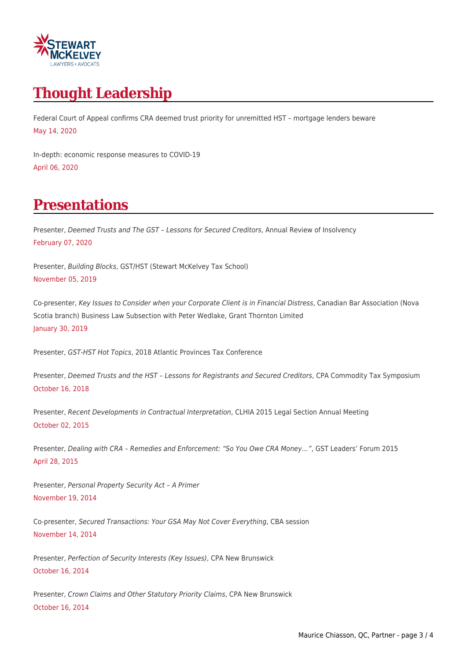

# **Thought Leadership**

Federal Court of Appeal confirms CRA deemed trust priority for unremitted HST – mortgage lenders beware May 14, 2020

In-depth: economic response measures to COVID-19 April 06, 2020

# **Presentations**

Presenter, Deemed Trusts and The GST – Lessons for Secured Creditors, Annual Review of Insolvency February 07, 2020

Presenter, Building Blocks, GST/HST (Stewart McKelvey Tax School) November 05, 2019

Co-presenter, Key Issues to Consider when your Corporate Client is in Financial Distress, Canadian Bar Association (Nova Scotia branch) Business Law Subsection with Peter Wedlake, Grant Thornton Limited January 30, 2019

Presenter, GST-HST Hot Topics, 2018 Atlantic Provinces Tax Conference

Presenter, Deemed Trusts and the HST – Lessons for Registrants and Secured Creditors, CPA Commodity Tax Symposium October 16, 2018

Presenter, Recent Developments in Contractual Interpretation, CLHIA 2015 Legal Section Annual Meeting October 02, 2015

Presenter, Dealing with CRA – Remedies and Enforcement: "So You Owe CRA Money…", GST Leaders' Forum 2015 April 28, 2015

Presenter, Personal Property Security Act – A Primer November 19, 2014

Co-presenter, Secured Transactions: Your GSA May Not Cover Everything, CBA session November 14, 2014

Presenter, Perfection of Security Interests (Key Issues), CPA New Brunswick October 16, 2014

Presenter, Crown Claims and Other Statutory Priority Claims, CPA New Brunswick October 16, 2014